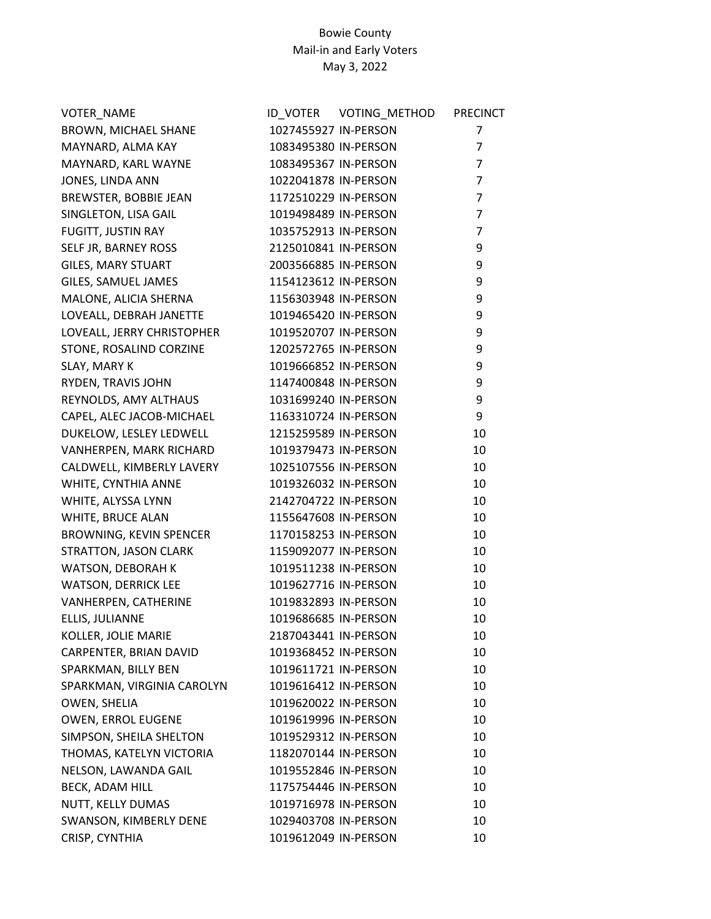| VOTER_NAME                   |                      | <b>PRECINCT</b> |
|------------------------------|----------------------|-----------------|
| BROWN, MICHAEL SHANE         | 1027455927 IN-PERSON | $\overline{7}$  |
| MAYNARD, ALMA KAY            | 1083495380 IN-PERSON | $\overline{7}$  |
| MAYNARD, KARL WAYNE          | 1083495367 IN-PERSON | $\overline{7}$  |
| JONES, LINDA ANN             | 1022041878 IN-PERSON | $\overline{7}$  |
| <b>BREWSTER, BOBBIE JEAN</b> | 1172510229 IN-PERSON | $\overline{7}$  |
| SINGLETON, LISA GAIL         | 1019498489 IN-PERSON | $\overline{7}$  |
| FUGITT, JUSTIN RAY           | 1035752913 IN-PERSON | $\overline{7}$  |
| SELF JR, BARNEY ROSS         | 2125010841 IN-PERSON | 9               |
| <b>GILES, MARY STUART</b>    | 2003566885 IN-PERSON | 9               |
| GILES, SAMUEL JAMES          | 1154123612 IN-PERSON | 9               |
| MALONE, ALICIA SHERNA        | 1156303948 IN-PERSON | 9               |
| LOVEALL, DEBRAH JANETTE      | 1019465420 IN-PERSON | 9               |
| LOVEALL, JERRY CHRISTOPHER   | 1019520707 IN-PERSON | 9               |
| STONE, ROSALIND CORZINE      | 1202572765 IN-PERSON | 9               |
| SLAY, MARY K                 | 1019666852 IN-PERSON | 9               |
| RYDEN, TRAVIS JOHN           | 1147400848 IN-PERSON | 9               |
| REYNOLDS, AMY ALTHAUS        | 1031699240 IN-PERSON | 9               |
| CAPEL, ALEC JACOB-MICHAEL    | 1163310724 IN-PERSON | 9               |
| DUKELOW, LESLEY LEDWELL      | 1215259589 IN-PERSON | 10              |
| VANHERPEN, MARK RICHARD      | 1019379473 IN-PERSON | 10              |
| CALDWELL, KIMBERLY LAVERY    | 1025107556 IN-PERSON | 10              |
| WHITE, CYNTHIA ANNE          | 1019326032 IN-PERSON | 10              |
| WHITE, ALYSSA LYNN           | 2142704722 IN-PERSON | 10              |
| WHITE, BRUCE ALAN            | 1155647608 IN-PERSON | 10              |
| BROWNING, KEVIN SPENCER      | 1170158253 IN-PERSON | 10              |
| STRATTON, JASON CLARK        | 1159092077 IN-PERSON | 10              |
| WATSON, DEBORAH K            | 1019511238 IN-PERSON | 10              |
| <b>WATSON, DERRICK LEE</b>   | 1019627716 IN-PERSON | 10              |
| VANHERPEN, CATHERINE         | 1019832893 IN-PERSON | 10              |
| ELLIS, JULIANNE              | 1019686685 IN-PERSON | 10              |
| KOLLER, JOLIE MARIE          | 2187043441 IN-PERSON | 10              |
| CARPENTER, BRIAN DAVID       | 1019368452 IN-PERSON | 10              |
| SPARKMAN, BILLY BEN          | 1019611721 IN-PERSON | 10              |
| SPARKMAN, VIRGINIA CAROLYN   | 1019616412 IN-PERSON | 10              |
| OWEN, SHELIA                 | 1019620022 IN-PERSON | 10              |
| OWEN, ERROL EUGENE           | 1019619996 IN-PERSON | 10              |
| SIMPSON, SHEILA SHELTON      | 1019529312 IN-PERSON | 10              |
| THOMAS, KATELYN VICTORIA     | 1182070144 IN-PERSON | 10              |
| NELSON, LAWANDA GAIL         | 1019552846 IN-PERSON | 10              |
| BECK, ADAM HILL              | 1175754446 IN-PERSON | 10              |
| NUTT, KELLY DUMAS            | 1019716978 IN-PERSON | 10              |
| SWANSON, KIMBERLY DENE       | 1029403708 IN-PERSON | 10              |
| CRISP, CYNTHIA               | 1019612049 IN-PERSON | 10              |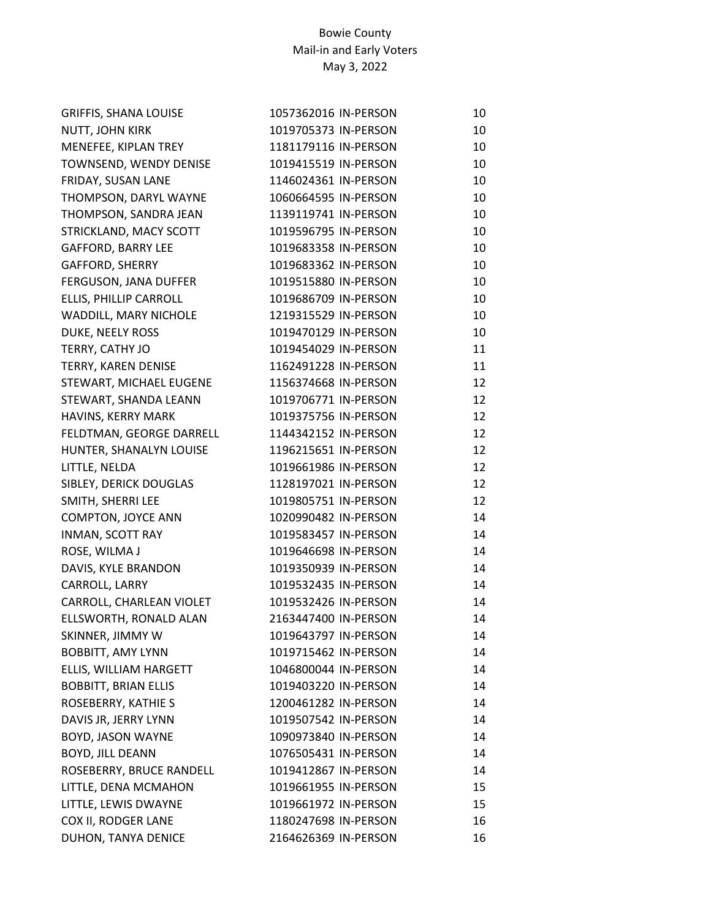| <b>GRIFFIS, SHANA LOUISE</b> | 1057362016 IN-PERSON | 10 |
|------------------------------|----------------------|----|
| NUTT, JOHN KIRK              | 1019705373 IN-PERSON | 10 |
| MENEFEE, KIPLAN TREY         | 1181179116 IN-PERSON | 10 |
| TOWNSEND, WENDY DENISE       | 1019415519 IN-PERSON | 10 |
| FRIDAY, SUSAN LANE           | 1146024361 IN-PERSON | 10 |
| THOMPSON, DARYL WAYNE        | 1060664595 IN-PERSON | 10 |
| THOMPSON, SANDRA JEAN        | 1139119741 IN-PERSON | 10 |
| STRICKLAND, MACY SCOTT       | 1019596795 IN-PERSON | 10 |
| <b>GAFFORD, BARRY LEE</b>    | 1019683358 IN-PERSON | 10 |
| <b>GAFFORD, SHERRY</b>       | 1019683362 IN-PERSON | 10 |
| FERGUSON, JANA DUFFER        | 1019515880 IN-PERSON | 10 |
| ELLIS, PHILLIP CARROLL       | 1019686709 IN-PERSON | 10 |
| WADDILL, MARY NICHOLE        | 1219315529 IN-PERSON | 10 |
| DUKE, NEELY ROSS             | 1019470129 IN-PERSON | 10 |
| TERRY, CATHY JO              | 1019454029 IN-PERSON | 11 |
| TERRY, KAREN DENISE          | 1162491228 IN-PERSON | 11 |
| STEWART, MICHAEL EUGENE      | 1156374668 IN-PERSON | 12 |
| STEWART, SHANDA LEANN        | 1019706771 IN-PERSON | 12 |
| HAVINS, KERRY MARK           | 1019375756 IN-PERSON | 12 |
| FELDTMAN, GEORGE DARRELL     | 1144342152 IN-PERSON | 12 |
| HUNTER, SHANALYN LOUISE      | 1196215651 IN-PERSON | 12 |
| LITTLE, NELDA                | 1019661986 IN-PERSON | 12 |
| SIBLEY, DERICK DOUGLAS       | 1128197021 IN-PERSON | 12 |
| SMITH, SHERRI LEE            | 1019805751 IN-PERSON | 12 |
| COMPTON, JOYCE ANN           | 1020990482 IN-PERSON | 14 |
| INMAN, SCOTT RAY             | 1019583457 IN-PERSON | 14 |
| ROSE, WILMA J                | 1019646698 IN-PERSON | 14 |
| DAVIS, KYLE BRANDON          | 1019350939 IN-PERSON | 14 |
| CARROLL, LARRY               | 1019532435 IN-PERSON | 14 |
| CARROLL, CHARLEAN VIOLET     | 1019532426 IN-PERSON | 14 |
| ELLSWORTH, RONALD ALAN       | 2163447400 IN-PERSON | 14 |
| SKINNER, JIMMY W             | 1019643797 IN-PERSON | 14 |
| <b>BOBBITT, AMY LYNN</b>     | 1019715462 IN-PERSON | 14 |
| ELLIS, WILLIAM HARGETT       | 1046800044 IN-PERSON | 14 |
| <b>BOBBITT, BRIAN ELLIS</b>  | 1019403220 IN-PERSON | 14 |
| ROSEBERRY, KATHIE S          | 1200461282 IN-PERSON | 14 |
| DAVIS JR, JERRY LYNN         | 1019507542 IN-PERSON | 14 |
| BOYD, JASON WAYNE            | 1090973840 IN-PERSON | 14 |
| <b>BOYD, JILL DEANN</b>      | 1076505431 IN-PERSON | 14 |
| ROSEBERRY, BRUCE RANDELL     | 1019412867 IN-PERSON | 14 |
| LITTLE, DENA MCMAHON         | 1019661955 IN-PERSON | 15 |
| LITTLE, LEWIS DWAYNE         | 1019661972 IN-PERSON | 15 |
| COX II, RODGER LANE          | 1180247698 IN-PERSON | 16 |
| DUHON, TANYA DENICE          | 2164626369 IN-PERSON | 16 |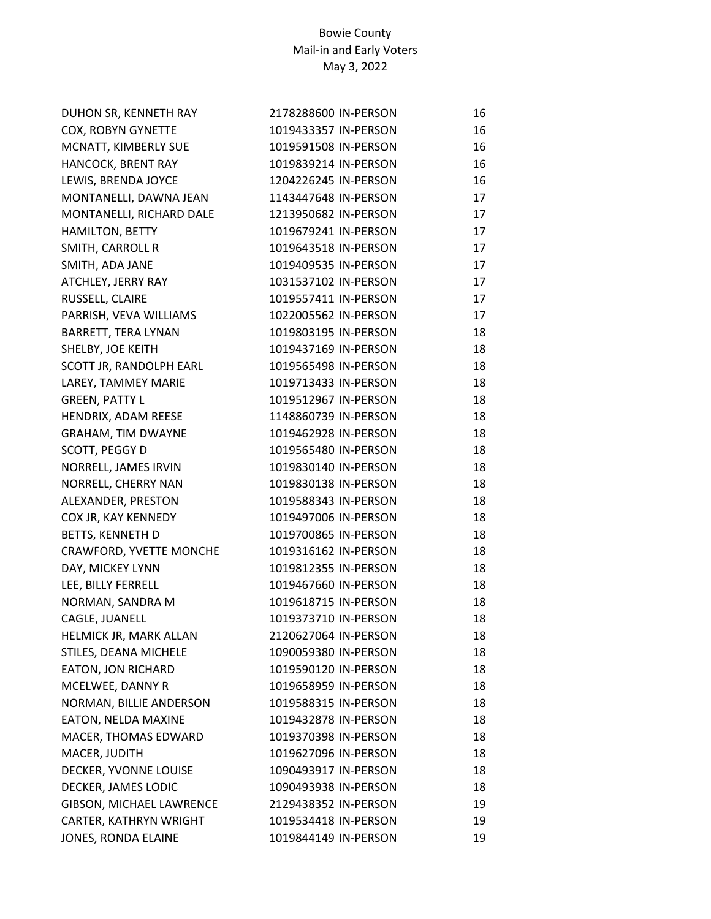| DUHON SR, KENNETH RAY     | 2178288600 IN-PERSON | 16 |
|---------------------------|----------------------|----|
| COX, ROBYN GYNETTE        | 1019433357 IN-PERSON | 16 |
| MCNATT, KIMBERLY SUE      | 1019591508 IN-PERSON | 16 |
| HANCOCK, BRENT RAY        | 1019839214 IN-PERSON | 16 |
| LEWIS, BRENDA JOYCE       | 1204226245 IN-PERSON | 16 |
| MONTANELLI, DAWNA JEAN    | 1143447648 IN-PERSON | 17 |
| MONTANELLI, RICHARD DALE  | 1213950682 IN-PERSON | 17 |
| <b>HAMILTON, BETTY</b>    | 1019679241 IN-PERSON | 17 |
| SMITH, CARROLL R          | 1019643518 IN-PERSON | 17 |
| SMITH, ADA JANE           | 1019409535 IN-PERSON | 17 |
| ATCHLEY, JERRY RAY        | 1031537102 IN-PERSON | 17 |
| RUSSELL, CLAIRE           | 1019557411 IN-PERSON | 17 |
| PARRISH, VEVA WILLIAMS    | 1022005562 IN-PERSON | 17 |
| BARRETT, TERA LYNAN       | 1019803195 IN-PERSON | 18 |
| SHELBY, JOE KEITH         | 1019437169 IN-PERSON | 18 |
| SCOTT JR, RANDOLPH EARL   | 1019565498 IN-PERSON | 18 |
| LAREY, TAMMEY MARIE       | 1019713433 IN-PERSON | 18 |
| <b>GREEN, PATTY L</b>     | 1019512967 IN-PERSON | 18 |
| HENDRIX, ADAM REESE       | 1148860739 IN-PERSON | 18 |
| <b>GRAHAM, TIM DWAYNE</b> | 1019462928 IN-PERSON | 18 |
| SCOTT, PEGGY D            | 1019565480 IN-PERSON | 18 |
| NORRELL, JAMES IRVIN      | 1019830140 IN-PERSON | 18 |
| NORRELL, CHERRY NAN       | 1019830138 IN-PERSON | 18 |
| ALEXANDER, PRESTON        | 1019588343 IN-PERSON | 18 |
| COX JR, KAY KENNEDY       | 1019497006 IN-PERSON | 18 |
| BETTS, KENNETH D          | 1019700865 IN-PERSON | 18 |
| CRAWFORD, YVETTE MONCHE   | 1019316162 IN-PERSON | 18 |
| DAY, MICKEY LYNN          | 1019812355 IN-PERSON | 18 |
| LEE, BILLY FERRELL        | 1019467660 IN-PERSON | 18 |
| NORMAN, SANDRA M          | 1019618715 IN-PERSON | 18 |
| CAGLE, JUANELL            | 1019373710 IN-PERSON | 18 |
| HELMICK JR, MARK ALLAN    | 2120627064 IN-PERSON | 18 |
| STILES, DEANA MICHELE     | 1090059380 IN-PERSON | 18 |
| EATON, JON RICHARD        | 1019590120 IN-PERSON | 18 |
| MCELWEE, DANNY R          | 1019658959 IN-PERSON | 18 |
| NORMAN, BILLIE ANDERSON   | 1019588315 IN-PERSON | 18 |
| EATON, NELDA MAXINE       | 1019432878 IN-PERSON | 18 |
| MACER, THOMAS EDWARD      | 1019370398 IN-PERSON | 18 |
| MACER, JUDITH             | 1019627096 IN-PERSON | 18 |
| DECKER, YVONNE LOUISE     | 1090493917 IN-PERSON | 18 |
| DECKER, JAMES LODIC       | 1090493938 IN-PERSON | 18 |
| GIBSON, MICHAEL LAWRENCE  | 2129438352 IN-PERSON | 19 |
| CARTER, KATHRYN WRIGHT    | 1019534418 IN-PERSON | 19 |
| JONES, RONDA ELAINE       | 1019844149 IN-PERSON | 19 |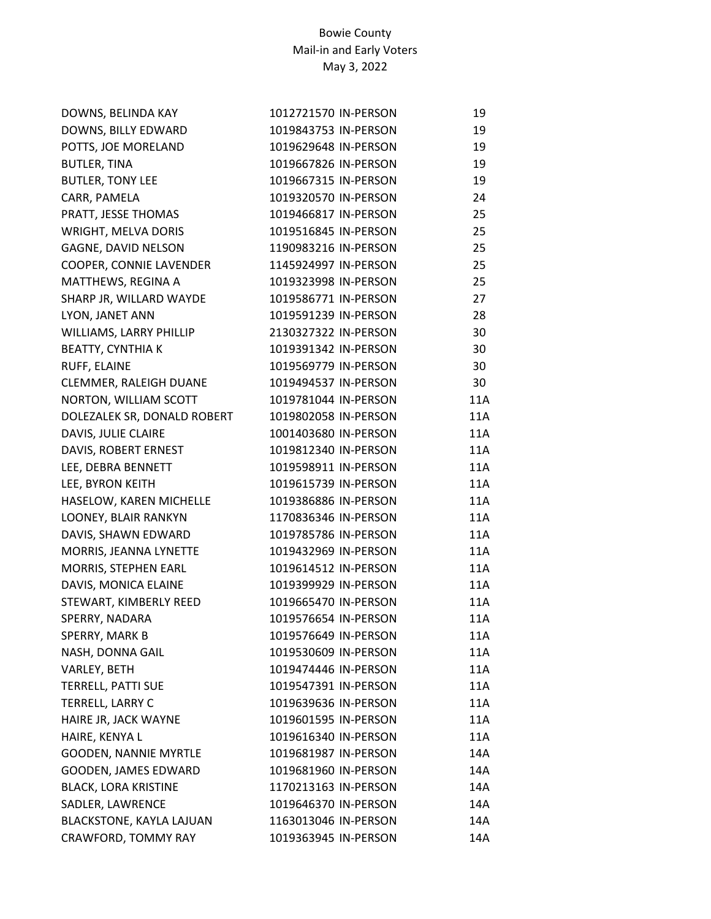| DOWNS, BELINDA KAY           | 1012721570 IN-PERSON | 19  |
|------------------------------|----------------------|-----|
| DOWNS, BILLY EDWARD          | 1019843753 IN-PERSON | 19  |
| POTTS, JOE MORELAND          | 1019629648 IN-PERSON | 19  |
| <b>BUTLER, TINA</b>          | 1019667826 IN-PERSON | 19  |
| <b>BUTLER, TONY LEE</b>      | 1019667315 IN-PERSON | 19  |
| CARR, PAMELA                 | 1019320570 IN-PERSON | 24  |
| PRATT, JESSE THOMAS          | 1019466817 IN-PERSON | 25  |
| WRIGHT, MELVA DORIS          | 1019516845 IN-PERSON | 25  |
| GAGNE, DAVID NELSON          | 1190983216 IN-PERSON | 25  |
| COOPER, CONNIE LAVENDER      | 1145924997 IN-PERSON | 25  |
| MATTHEWS, REGINA A           | 1019323998 IN-PERSON | 25  |
| SHARP JR, WILLARD WAYDE      | 1019586771 IN-PERSON | 27  |
| LYON, JANET ANN              | 1019591239 IN-PERSON | 28  |
| WILLIAMS, LARRY PHILLIP      | 2130327322 IN-PERSON | 30  |
| <b>BEATTY, CYNTHIA K</b>     | 1019391342 IN-PERSON | 30  |
| RUFF, ELAINE                 | 1019569779 IN-PERSON | 30  |
| CLEMMER, RALEIGH DUANE       | 1019494537 IN-PERSON | 30  |
| NORTON, WILLIAM SCOTT        | 1019781044 IN-PERSON | 11A |
| DOLEZALEK SR, DONALD ROBERT  | 1019802058 IN-PERSON | 11A |
| DAVIS, JULIE CLAIRE          | 1001403680 IN-PERSON | 11A |
| DAVIS, ROBERT ERNEST         | 1019812340 IN-PERSON | 11A |
| LEE, DEBRA BENNETT           | 1019598911 IN-PERSON | 11A |
| LEE, BYRON KEITH             | 1019615739 IN-PERSON | 11A |
| HASELOW, KAREN MICHELLE      | 1019386886 IN-PERSON | 11A |
| LOONEY, BLAIR RANKYN         | 1170836346 IN-PERSON | 11A |
| DAVIS, SHAWN EDWARD          | 1019785786 IN-PERSON | 11A |
| MORRIS, JEANNA LYNETTE       | 1019432969 IN-PERSON | 11A |
| MORRIS, STEPHEN EARL         | 1019614512 IN-PERSON | 11A |
| DAVIS, MONICA ELAINE         | 1019399929 IN-PERSON | 11A |
| STEWART, KIMBERLY REED       | 1019665470 IN-PERSON | 11A |
| SPERRY, NADARA               | 1019576654 IN-PERSON | 11A |
| SPERRY, MARK B               | 1019576649 IN-PERSON | 11A |
| NASH, DONNA GAIL             | 1019530609 IN-PERSON | 11A |
| VARLEY, BETH                 | 1019474446 IN-PERSON | 11A |
| TERRELL, PATTI SUE           | 1019547391 IN-PERSON | 11A |
| TERRELL, LARRY C             | 1019639636 IN-PERSON | 11A |
| HAIRE JR, JACK WAYNE         | 1019601595 IN-PERSON | 11A |
| HAIRE, KENYA L               | 1019616340 IN-PERSON | 11A |
| <b>GOODEN, NANNIE MYRTLE</b> | 1019681987 IN-PERSON | 14A |
| GOODEN, JAMES EDWARD         | 1019681960 IN-PERSON | 14A |
| <b>BLACK, LORA KRISTINE</b>  | 1170213163 IN-PERSON | 14A |
| SADLER, LAWRENCE             | 1019646370 IN-PERSON | 14A |
| BLACKSTONE, KAYLA LAJUAN     | 1163013046 IN-PERSON | 14A |
| CRAWFORD, TOMMY RAY          | 1019363945 IN-PERSON | 14A |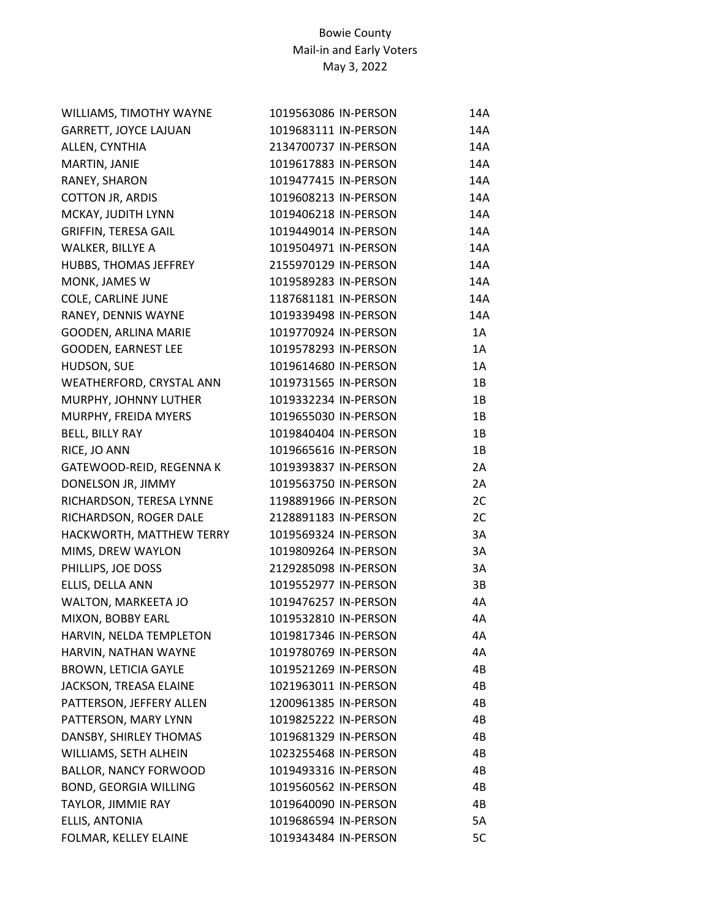| WILLIAMS, TIMOTHY WAYNE      | 1019563086 IN-PERSON | 14A |
|------------------------------|----------------------|-----|
| GARRETT, JOYCE LAJUAN        | 1019683111 IN-PERSON | 14A |
| ALLEN, CYNTHIA               | 2134700737 IN-PERSON | 14A |
| MARTIN, JANIE                | 1019617883 IN-PERSON | 14A |
| RANEY, SHARON                | 1019477415 IN-PERSON | 14A |
| <b>COTTON JR, ARDIS</b>      | 1019608213 IN-PERSON | 14A |
| MCKAY, JUDITH LYNN           | 1019406218 IN-PERSON | 14A |
| <b>GRIFFIN, TERESA GAIL</b>  | 1019449014 IN-PERSON | 14A |
| WALKER, BILLYE A             | 1019504971 IN-PERSON | 14A |
| HUBBS, THOMAS JEFFREY        | 2155970129 IN-PERSON | 14A |
| MONK, JAMES W                | 1019589283 IN-PERSON | 14A |
| COLE, CARLINE JUNE           | 1187681181 IN-PERSON | 14A |
| RANEY, DENNIS WAYNE          | 1019339498 IN-PERSON | 14A |
| GOODEN, ARLINA MARIE         | 1019770924 IN-PERSON | 1A  |
| GOODEN, EARNEST LEE          | 1019578293 IN-PERSON | 1A  |
| HUDSON, SUE                  | 1019614680 IN-PERSON | 1A  |
| WEATHERFORD, CRYSTAL ANN     | 1019731565 IN-PERSON | 1B  |
| MURPHY, JOHNNY LUTHER        | 1019332234 IN-PERSON | 1B  |
| MURPHY, FREIDA MYERS         | 1019655030 IN-PERSON | 1B  |
| BELL, BILLY RAY              | 1019840404 IN-PERSON | 1B  |
| RICE, JO ANN                 | 1019665616 IN-PERSON | 1B  |
| GATEWOOD-REID, REGENNA K     | 1019393837 IN-PERSON | 2A  |
| DONELSON JR, JIMMY           | 1019563750 IN-PERSON | 2A  |
| RICHARDSON, TERESA LYNNE     | 1198891966 IN-PERSON | 2C  |
| RICHARDSON, ROGER DALE       | 2128891183 IN-PERSON | 2C  |
| HACKWORTH, MATTHEW TERRY     | 1019569324 IN-PERSON | 3A  |
| MIMS, DREW WAYLON            | 1019809264 IN-PERSON | 3A  |
| PHILLIPS, JOE DOSS           | 2129285098 IN-PERSON | 3A  |
| ELLIS, DELLA ANN             | 1019552977 IN-PERSON | 3B  |
| WALTON, MARKEETA JO          | 1019476257 IN-PERSON | 4A  |
| MIXON, BOBBY EARL            | 1019532810 IN-PERSON | 4А  |
| HARVIN, NELDA TEMPLETON      | 1019817346 IN-PERSON | 4Α  |
| HARVIN, NATHAN WAYNE         | 1019780769 IN-PERSON | 4A  |
| <b>BROWN, LETICIA GAYLE</b>  | 1019521269 IN-PERSON | 4B  |
| JACKSON, TREASA ELAINE       | 1021963011 IN-PERSON | 4B  |
| PATTERSON, JEFFERY ALLEN     | 1200961385 IN-PERSON | 4B  |
| PATTERSON, MARY LYNN         | 1019825222 IN-PERSON | 4B  |
| DANSBY, SHIRLEY THOMAS       | 1019681329 IN-PERSON | 4B  |
| WILLIAMS, SETH ALHEIN        | 1023255468 IN-PERSON | 4B  |
| <b>BALLOR, NANCY FORWOOD</b> | 1019493316 IN-PERSON | 4B  |
| <b>BOND, GEORGIA WILLING</b> | 1019560562 IN-PERSON | 4B  |
| TAYLOR, JIMMIE RAY           | 1019640090 IN-PERSON | 4B  |
| ELLIS, ANTONIA               | 1019686594 IN-PERSON | 5A  |
| FOLMAR, KELLEY ELAINE        | 1019343484 IN-PERSON | 5C  |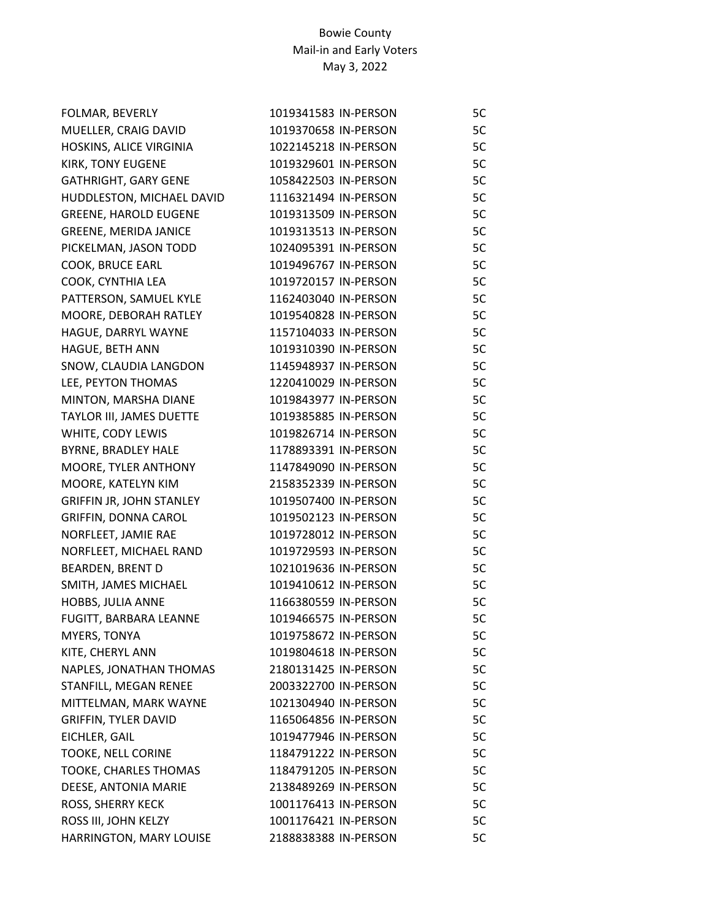| FOLMAR, BEVERLY                 | 1019341583 IN-PERSON | 5C |
|---------------------------------|----------------------|----|
| MUELLER, CRAIG DAVID            | 1019370658 IN-PERSON | 5C |
| HOSKINS, ALICE VIRGINIA         | 1022145218 IN-PERSON | 5C |
| KIRK, TONY EUGENE               | 1019329601 IN-PERSON | 5C |
| <b>GATHRIGHT, GARY GENE</b>     | 1058422503 IN-PERSON | 5C |
| HUDDLESTON, MICHAEL DAVID       | 1116321494 IN-PERSON | 5C |
| <b>GREENE, HAROLD EUGENE</b>    | 1019313509 IN-PERSON | 5C |
| <b>GREENE, MERIDA JANICE</b>    | 1019313513 IN-PERSON | 5C |
| PICKELMAN, JASON TODD           | 1024095391 IN-PERSON | 5C |
| COOK, BRUCE EARL                | 1019496767 IN-PERSON | 5C |
| COOK, CYNTHIA LEA               | 1019720157 IN-PERSON | 5C |
| PATTERSON, SAMUEL KYLE          | 1162403040 IN-PERSON | 5C |
| MOORE, DEBORAH RATLEY           | 1019540828 IN-PERSON | 5C |
| HAGUE, DARRYL WAYNE             | 1157104033 IN-PERSON | 5C |
| HAGUE, BETH ANN                 | 1019310390 IN-PERSON | 5C |
| SNOW, CLAUDIA LANGDON           | 1145948937 IN-PERSON | 5C |
| LEE, PEYTON THOMAS              | 1220410029 IN-PERSON | 5C |
| MINTON, MARSHA DIANE            | 1019843977 IN-PERSON | 5C |
| TAYLOR III, JAMES DUETTE        | 1019385885 IN-PERSON | 5C |
| WHITE, CODY LEWIS               | 1019826714 IN-PERSON | 5C |
| BYRNE, BRADLEY HALE             | 1178893391 IN-PERSON | 5C |
| MOORE, TYLER ANTHONY            | 1147849090 IN-PERSON | 5C |
| MOORE, KATELYN KIM              | 2158352339 IN-PERSON | 5C |
| <b>GRIFFIN JR, JOHN STANLEY</b> | 1019507400 IN-PERSON | 5C |
| GRIFFIN, DONNA CAROL            | 1019502123 IN-PERSON | 5C |
| NORFLEET, JAMIE RAE             | 1019728012 IN-PERSON | 5C |
| NORFLEET, MICHAEL RAND          | 1019729593 IN-PERSON | 5C |
| <b>BEARDEN, BRENT D</b>         | 1021019636 IN-PERSON | 5C |
| SMITH, JAMES MICHAEL            | 1019410612 IN-PERSON | 5C |
| HOBBS, JULIA ANNE               | 1166380559 IN-PERSON | 5C |
| FUGITT, BARBARA LEANNE          | 1019466575 IN-PERSON | 5C |
| MYERS, TONYA                    | 1019758672 IN-PERSON | 5C |
| KITE, CHERYL ANN                | 1019804618 IN-PERSON | 5C |
| NAPLES, JONATHAN THOMAS         | 2180131425 IN-PERSON | 5C |
| STANFILL, MEGAN RENEE           | 2003322700 IN-PERSON | 5C |
| MITTELMAN, MARK WAYNE           | 1021304940 IN-PERSON | 5C |
| <b>GRIFFIN, TYLER DAVID</b>     | 1165064856 IN-PERSON | 5C |
| EICHLER, GAIL                   | 1019477946 IN-PERSON | 5C |
| TOOKE, NELL CORINE              | 1184791222 IN-PERSON | 5C |
| TOOKE, CHARLES THOMAS           | 1184791205 IN-PERSON | 5C |
| DEESE, ANTONIA MARIE            | 2138489269 IN-PERSON | 5C |
| ROSS, SHERRY KECK               | 1001176413 IN-PERSON | 5C |
| ROSS III, JOHN KELZY            | 1001176421 IN-PERSON | 5C |
| HARRINGTON, MARY LOUISE         | 2188838388 IN-PERSON | 5C |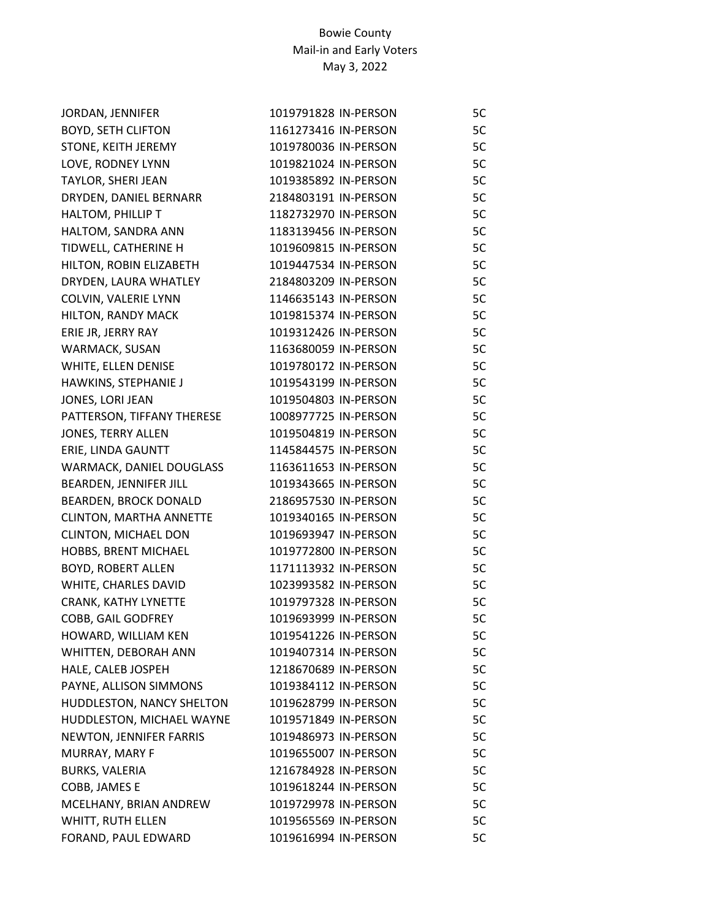| JORDAN, JENNIFER           | 1019791828 IN-PERSON | 5C |
|----------------------------|----------------------|----|
| <b>BOYD, SETH CLIFTON</b>  | 1161273416 IN-PERSON | 5C |
| STONE, KEITH JEREMY        | 1019780036 IN-PERSON | 5C |
| LOVE, RODNEY LYNN          | 1019821024 IN-PERSON | 5C |
| TAYLOR, SHERI JEAN         | 1019385892 IN-PERSON | 5C |
| DRYDEN, DANIEL BERNARR     | 2184803191 IN-PERSON | 5C |
| HALTOM, PHILLIP T          | 1182732970 IN-PERSON | 5C |
| HALTOM, SANDRA ANN         | 1183139456 IN-PERSON | 5C |
| TIDWELL, CATHERINE H       | 1019609815 IN-PERSON | 5C |
| HILTON, ROBIN ELIZABETH    | 1019447534 IN-PERSON | 5C |
| DRYDEN, LAURA WHATLEY      | 2184803209 IN-PERSON | 5C |
| COLVIN, VALERIE LYNN       | 1146635143 IN-PERSON | 5C |
| HILTON, RANDY MACK         | 1019815374 IN-PERSON | 5C |
| ERIE JR, JERRY RAY         | 1019312426 IN-PERSON | 5C |
| WARMACK, SUSAN             | 1163680059 IN-PERSON | 5C |
| WHITE, ELLEN DENISE        | 1019780172 IN-PERSON | 5C |
| HAWKINS, STEPHANIE J       | 1019543199 IN-PERSON | 5C |
| JONES, LORI JEAN           | 1019504803 IN-PERSON | 5C |
| PATTERSON, TIFFANY THERESE | 1008977725 IN-PERSON | 5C |
| JONES, TERRY ALLEN         | 1019504819 IN-PERSON | 5C |
| ERIE, LINDA GAUNTT         | 1145844575 IN-PERSON | 5C |
| WARMACK, DANIEL DOUGLASS   | 1163611653 IN-PERSON | 5C |
| BEARDEN, JENNIFER JILL     | 1019343665 IN-PERSON | 5C |
| BEARDEN, BROCK DONALD      | 2186957530 IN-PERSON | 5C |
| CLINTON, MARTHA ANNETTE    | 1019340165 IN-PERSON | 5C |
| CLINTON, MICHAEL DON       | 1019693947 IN-PERSON | 5C |
| HOBBS, BRENT MICHAEL       | 1019772800 IN-PERSON | 5C |
| <b>BOYD, ROBERT ALLEN</b>  | 1171113932 IN-PERSON | 5C |
| WHITE, CHARLES DAVID       | 1023993582 IN-PERSON | 5C |
| CRANK, KATHY LYNETTE       | 1019797328 IN-PERSON | 5C |
| COBB, GAIL GODFREY         | 1019693999 IN-PERSON | 5C |
| HOWARD, WILLIAM KEN        | 1019541226 IN-PERSON | 5C |
| WHITTEN, DEBORAH ANN       | 1019407314 IN-PERSON | 5C |
| HALE, CALEB JOSPEH         | 1218670689 IN-PERSON | 5C |
| PAYNE, ALLISON SIMMONS     | 1019384112 IN-PERSON | 5C |
| HUDDLESTON, NANCY SHELTON  | 1019628799 IN-PERSON | 5C |
| HUDDLESTON, MICHAEL WAYNE  | 1019571849 IN-PERSON | 5C |
| NEWTON, JENNIFER FARRIS    | 1019486973 IN-PERSON | 5C |
| MURRAY, MARY F             | 1019655007 IN-PERSON | 5C |
| <b>BURKS, VALERIA</b>      | 1216784928 IN-PERSON | 5C |
| COBB, JAMES E              | 1019618244 IN-PERSON | 5C |
| MCELHANY, BRIAN ANDREW     | 1019729978 IN-PERSON | 5C |
| WHITT, RUTH ELLEN          | 1019565569 IN-PERSON | 5C |
| FORAND, PAUL EDWARD        | 1019616994 IN-PERSON | 5C |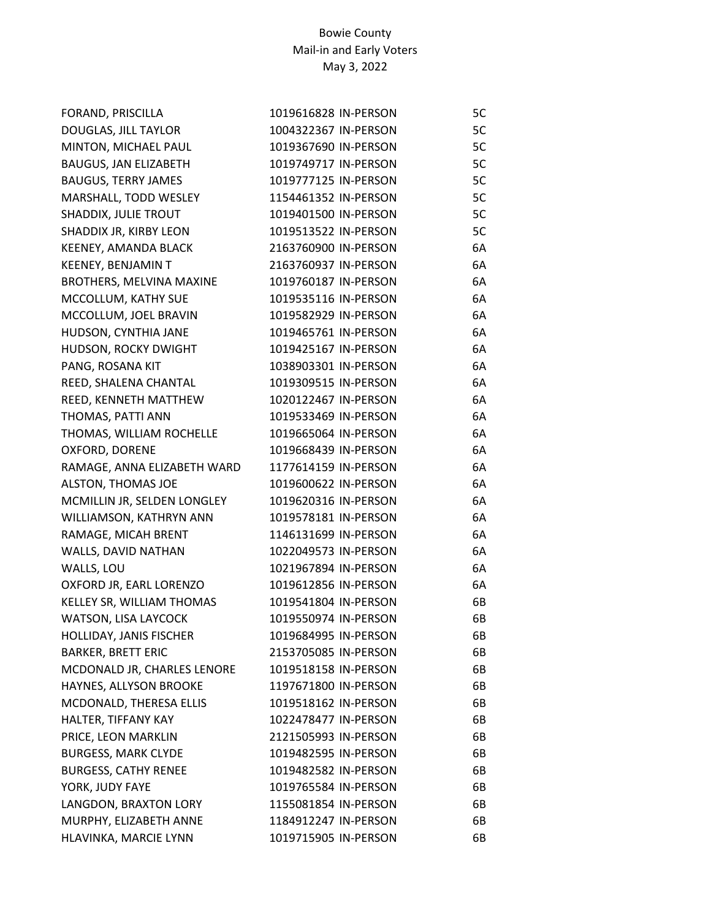| FORAND, PRISCILLA           | 1019616828 IN-PERSON | 5C |
|-----------------------------|----------------------|----|
| DOUGLAS, JILL TAYLOR        | 1004322367 IN-PERSON | 5C |
| MINTON, MICHAEL PAUL        | 1019367690 IN-PERSON | 5C |
| BAUGUS, JAN ELIZABETH       | 1019749717 IN-PERSON | 5C |
| <b>BAUGUS, TERRY JAMES</b>  | 1019777125 IN-PERSON | 5C |
| MARSHALL, TODD WESLEY       | 1154461352 IN-PERSON | 5C |
| SHADDIX, JULIE TROUT        | 1019401500 IN-PERSON | 5C |
| SHADDIX JR, KIRBY LEON      | 1019513522 IN-PERSON | 5C |
| KEENEY, AMANDA BLACK        | 2163760900 IN-PERSON | 6A |
| KEENEY, BENJAMIN T          | 2163760937 IN-PERSON | 6A |
| BROTHERS, MELVINA MAXINE    | 1019760187 IN-PERSON | 6A |
| MCCOLLUM, KATHY SUE         | 1019535116 IN-PERSON | 6A |
| MCCOLLUM, JOEL BRAVIN       | 1019582929 IN-PERSON | 6A |
| HUDSON, CYNTHIA JANE        | 1019465761 IN-PERSON | 6A |
| HUDSON, ROCKY DWIGHT        | 1019425167 IN-PERSON | 6A |
| PANG, ROSANA KIT            | 1038903301 IN-PERSON | 6A |
| REED, SHALENA CHANTAL       | 1019309515 IN-PERSON | 6A |
| REED, KENNETH MATTHEW       | 1020122467 IN-PERSON | 6A |
| THOMAS, PATTI ANN           | 1019533469 IN-PERSON | 6A |
| THOMAS, WILLIAM ROCHELLE    | 1019665064 IN-PERSON | 6A |
| OXFORD, DORENE              | 1019668439 IN-PERSON | 6A |
| RAMAGE, ANNA ELIZABETH WARD | 1177614159 IN-PERSON | 6A |
| ALSTON, THOMAS JOE          | 1019600622 IN-PERSON | 6A |
| MCMILLIN JR, SELDEN LONGLEY | 1019620316 IN-PERSON | 6A |
| WILLIAMSON, KATHRYN ANN     | 1019578181 IN-PERSON | 6A |
| RAMAGE, MICAH BRENT         | 1146131699 IN-PERSON | 6A |
| WALLS, DAVID NATHAN         | 1022049573 IN-PERSON | 6A |
| WALLS, LOU                  | 1021967894 IN-PERSON | 6A |
| OXFORD JR, EARL LORENZO     | 1019612856 IN-PERSON | 6A |
| KELLEY SR, WILLIAM THOMAS   | 1019541804 IN-PERSON | 6B |
| WATSON, LISA LAYCOCK        | 1019550974 IN-PERSON | 6B |
| HOLLIDAY, JANIS FISCHER     | 1019684995 IN-PERSON | 6B |
| <b>BARKER, BRETT ERIC</b>   | 2153705085 IN-PERSON | 6B |
| MCDONALD JR, CHARLES LENORE | 1019518158 IN-PERSON | 6B |
| HAYNES, ALLYSON BROOKE      | 1197671800 IN-PERSON | 6B |
| MCDONALD, THERESA ELLIS     | 1019518162 IN-PERSON | 6B |
| HALTER, TIFFANY KAY         | 1022478477 IN-PERSON | 6B |
| PRICE, LEON MARKLIN         | 2121505993 IN-PERSON | 6B |
| <b>BURGESS, MARK CLYDE</b>  | 1019482595 IN-PERSON | 6B |
| <b>BURGESS, CATHY RENEE</b> | 1019482582 IN-PERSON | 6B |
| YORK, JUDY FAYE             | 1019765584 IN-PERSON | 6B |
| LANGDON, BRAXTON LORY       | 1155081854 IN-PERSON | 6B |
| MURPHY, ELIZABETH ANNE      | 1184912247 IN-PERSON | 6B |
| HLAVINKA, MARCIE LYNN       | 1019715905 IN-PERSON | 6B |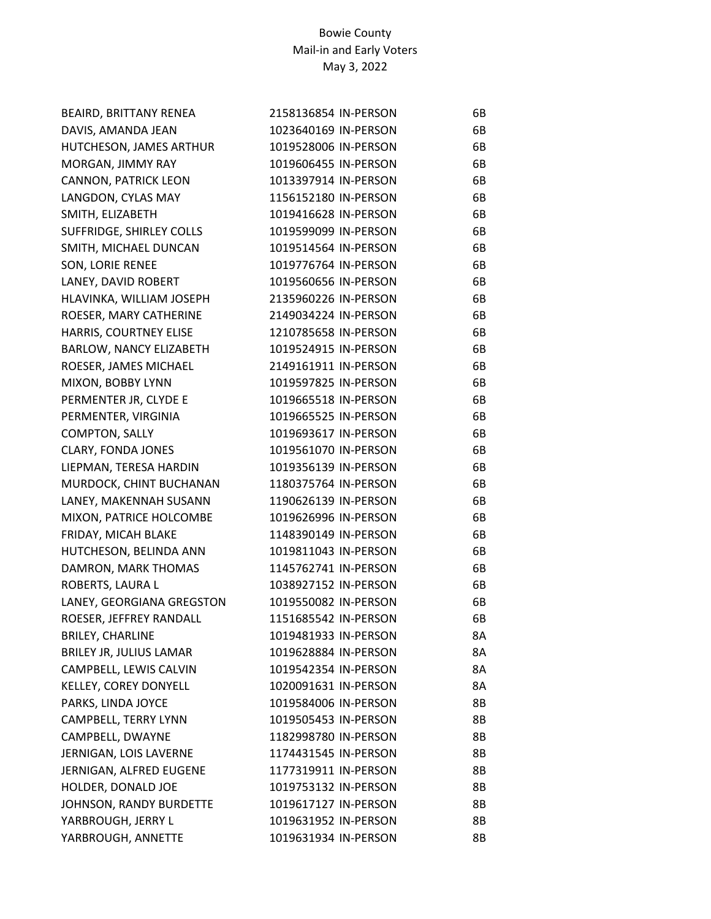| BEAIRD, BRITTANY RENEA    | 2158136854 IN-PERSON | 6В        |
|---------------------------|----------------------|-----------|
| DAVIS, AMANDA JEAN        | 1023640169 IN-PERSON | 6B        |
| HUTCHESON, JAMES ARTHUR   | 1019528006 IN-PERSON | 6B        |
| MORGAN, JIMMY RAY         | 1019606455 IN-PERSON | 6B        |
| CANNON, PATRICK LEON      | 1013397914 IN-PERSON | 6B        |
| LANGDON, CYLAS MAY        | 1156152180 IN-PERSON | 6B        |
| SMITH, ELIZABETH          | 1019416628 IN-PERSON | 6B        |
| SUFFRIDGE, SHIRLEY COLLS  | 1019599099 IN-PERSON | 6B        |
| SMITH, MICHAEL DUNCAN     | 1019514564 IN-PERSON | 6B        |
| SON, LORIE RENEE          | 1019776764 IN-PERSON | 6B        |
| LANEY, DAVID ROBERT       | 1019560656 IN-PERSON | 6B        |
| HLAVINKA, WILLIAM JOSEPH  | 2135960226 IN-PERSON | 6B        |
| ROESER, MARY CATHERINE    | 2149034224 IN-PERSON | 6B        |
| HARRIS, COURTNEY ELISE    | 1210785658 IN-PERSON | 6B        |
| BARLOW, NANCY ELIZABETH   | 1019524915 IN-PERSON | 6B        |
| ROESER, JAMES MICHAEL     | 2149161911 IN-PERSON | 6B        |
| MIXON, BOBBY LYNN         | 1019597825 IN-PERSON | 6B        |
| PERMENTER JR, CLYDE E     | 1019665518 IN-PERSON | 6B        |
| PERMENTER, VIRGINIA       | 1019665525 IN-PERSON | 6B        |
| <b>COMPTON, SALLY</b>     | 1019693617 IN-PERSON | 6B        |
| <b>CLARY, FONDA JONES</b> | 1019561070 IN-PERSON | 6B        |
| LIEPMAN, TERESA HARDIN    | 1019356139 IN-PERSON | 6B        |
| MURDOCK, CHINT BUCHANAN   | 1180375764 IN-PERSON | 6B        |
| LANEY, MAKENNAH SUSANN    | 1190626139 IN-PERSON | 6B        |
| MIXON, PATRICE HOLCOMBE   | 1019626996 IN-PERSON | 6B        |
| FRIDAY, MICAH BLAKE       | 1148390149 IN-PERSON | 6B        |
| HUTCHESON, BELINDA ANN    | 1019811043 IN-PERSON | 6B        |
| DAMRON, MARK THOMAS       | 1145762741 IN-PERSON | 6B        |
| ROBERTS, LAURA L          | 1038927152 IN-PERSON | 6B        |
| LANEY, GEORGIANA GREGSTON | 1019550082 IN-PERSON | 6B        |
| ROESER, JEFFREY RANDALL   | 1151685542 IN-PERSON | 6B        |
| <b>BRILEY, CHARLINE</b>   | 1019481933 IN-PERSON | 8Α        |
| BRILEY JR, JULIUS LAMAR   | 1019628884 IN-PERSON | 8A        |
| CAMPBELL, LEWIS CALVIN    | 1019542354 IN-PERSON | 8A        |
| KELLEY, COREY DONYELL     | 1020091631 IN-PERSON | 8A        |
| PARKS, LINDA JOYCE        | 1019584006 IN-PERSON | 8B        |
| CAMPBELL, TERRY LYNN      | 1019505453 IN-PERSON | 8B        |
| CAMPBELL, DWAYNE          | 1182998780 IN-PERSON | 8B        |
| JERNIGAN, LOIS LAVERNE    | 1174431545 IN-PERSON | 8B        |
| JERNIGAN, ALFRED EUGENE   | 1177319911 IN-PERSON | 8B        |
| HOLDER, DONALD JOE        | 1019753132 IN-PERSON | 8Β        |
| JOHNSON, RANDY BURDETTE   | 1019617127 IN-PERSON | 8B        |
| YARBROUGH, JERRY L        | 1019631952 IN-PERSON | <b>8B</b> |
| YARBROUGH, ANNETTE        | 1019631934 IN-PERSON | 8B        |